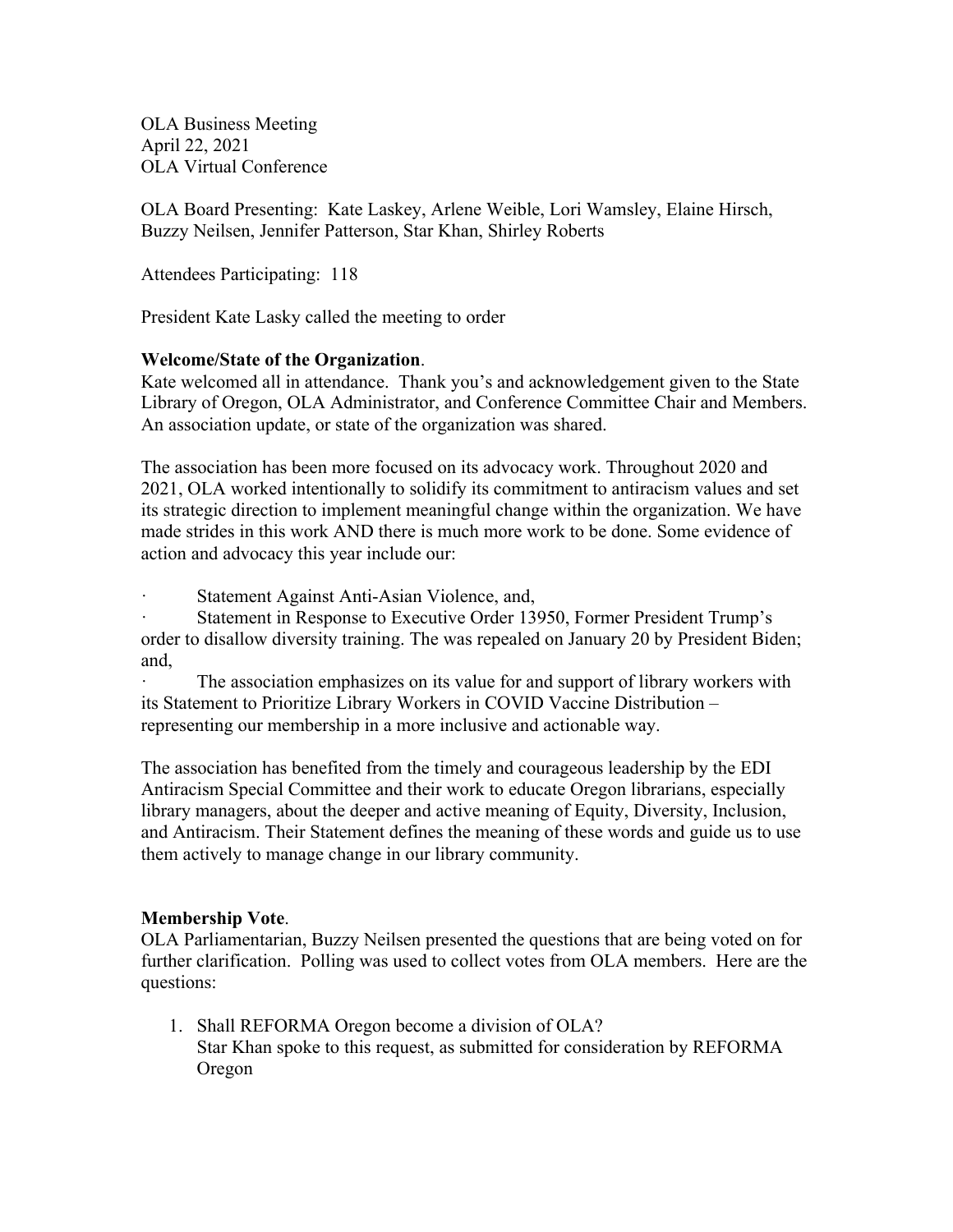OLA Business Meeting April 22, 2021 OLA Virtual Conference

OLA Board Presenting: Kate Laskey, Arlene Weible, Lori Wamsley, Elaine Hirsch, Buzzy Neilsen, Jennifer Patterson, Star Khan, Shirley Roberts

Attendees Participating: 118

President Kate Lasky called the meeting to order

### **Welcome/State of the Organization**.

Kate welcomed all in attendance. Thank you's and acknowledgement given to the State Library of Oregon, OLA Administrator, and Conference Committee Chair and Members. An association update, or state of the organization was shared.

The association has been more focused on its advocacy work. Throughout 2020 and 2021, OLA worked intentionally to solidify its commitment to antiracism values and set its strategic direction to implement meaningful change within the organization. We have made strides in this work AND there is much more work to be done. Some evidence of action and advocacy this year include our:

Statement Against Anti-Asian Violence, and,

Statement in Response to Executive Order 13950, Former President Trump's order to disallow diversity training. The was repealed on January 20 by President Biden; and,

The association emphasizes on its value for and support of library workers with its Statement to Prioritize Library Workers in COVID Vaccine Distribution – representing our membership in a more inclusive and actionable way.

The association has benefited from the timely and courageous leadership by the EDI Antiracism Special Committee and their work to educate Oregon librarians, especially library managers, about the deeper and active meaning of Equity, Diversity, Inclusion, and Antiracism. Their Statement defines the meaning of these words and guide us to use them actively to manage change in our library community.

# **Membership Vote**.

OLA Parliamentarian, Buzzy Neilsen presented the questions that are being voted on for further clarification. Polling was used to collect votes from OLA members. Here are the questions:

1. Shall REFORMA Oregon become a division of OLA? Star Khan spoke to this request, as submitted for consideration by REFORMA Oregon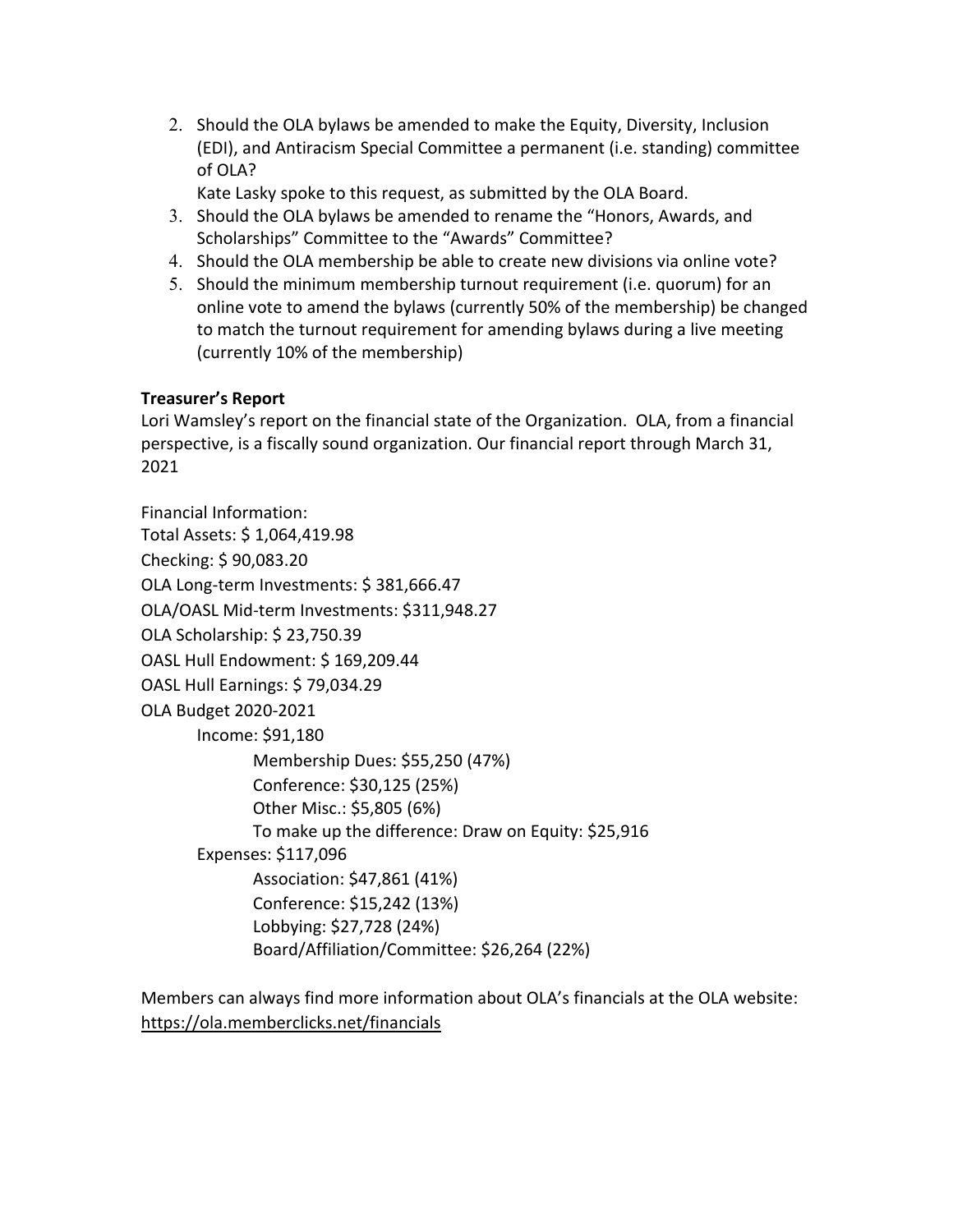2. Should the OLA bylaws be amended to make the Equity, Diversity, Inclusion (EDI), and Antiracism Special Committee a permanent (i.e. standing) committee of OLA?

Kate Lasky spoke to this request, as submitted by the OLA Board.

- 3. Should the OLA bylaws be amended to rename the "Honors, Awards, and Scholarships" Committee to the "Awards" Committee?
- 4. Should the OLA membership be able to create new divisions via online vote?
- 5. Should the minimum membership turnout requirement (i.e. quorum) for an online vote to amend the bylaws (currently 50% of the membership) be changed to match the turnout requirement for amending bylaws during a live meeting (currently 10% of the membership)

# **Treasurer's Report**

Lori Wamsley's report on the financial state of the Organization. OLA, from a financial perspective, is a fiscally sound organization. Our financial report through March 31, 2021

Financial Information: Total Assets: \$ 1,064,419.98 Checking: \$ 90,083.20 OLA Long-term Investments: \$ 381,666.47 OLA/OASL Mid-term Investments: \$311,948.27 OLA Scholarship: \$ 23,750.39 OASL Hull Endowment: \$ 169,209.44 OASL Hull Earnings: \$ 79,034.29 OLA Budget 2020-2021 Income: \$91,180 Membership Dues: \$55,250 (47%) Conference: \$30,125 (25%) Other Misc.: \$5,805 (6%) To make up the difference: Draw on Equity: \$25,916 Expenses: \$117,096 Association: \$47,861 (41%) Conference: \$15,242 (13%) Lobbying: \$27,728 (24%) Board/Affiliation/Committee: \$26,264 (22%)

Members can always find more information about OLA's financials at the OLA website: https://ola.memberclicks.net/financials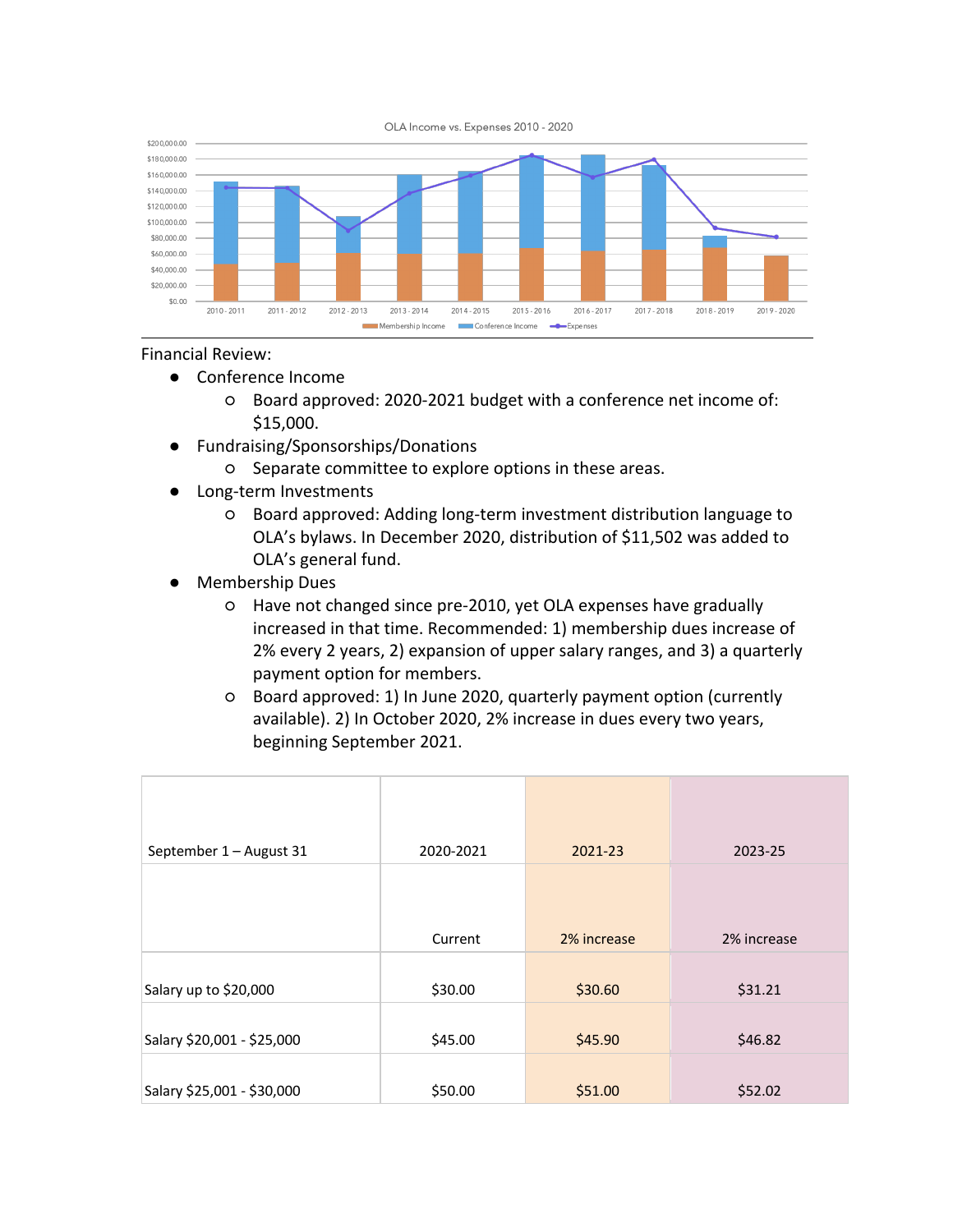



#### Financial Review:

- Conference Income
	- Board approved: 2020-2021 budget with a conference net income of: \$15,000.
- Fundraising/Sponsorships/Donations
	- Separate committee to explore options in these areas.
- Long-term Investments
	- Board approved: Adding long-term investment distribution language to OLA's bylaws. In December 2020, distribution of \$11,502 was added to OLA's general fund.
- Membership Dues
	- Have not changed since pre-2010, yet OLA expenses have gradually increased in that time. Recommended: 1) membership dues increase of 2% every 2 years, 2) expansion of upper salary ranges, and 3) a quarterly payment option for members.
	- Board approved: 1) In June 2020, quarterly payment option (currently available). 2) In October 2020, 2% increase in dues every two years, beginning September 2021.

| September 1 - August 31    | 2020-2021 | 2021-23     | 2023-25     |
|----------------------------|-----------|-------------|-------------|
|                            |           |             |             |
|                            | Current   | 2% increase | 2% increase |
| Salary up to \$20,000      | \$30.00   | \$30.60     | \$31.21     |
| Salary \$20,001 - \$25,000 | \$45.00   | \$45.90     | \$46.82     |
| Salary \$25,001 - \$30,000 | \$50.00   | \$51.00     | \$52.02     |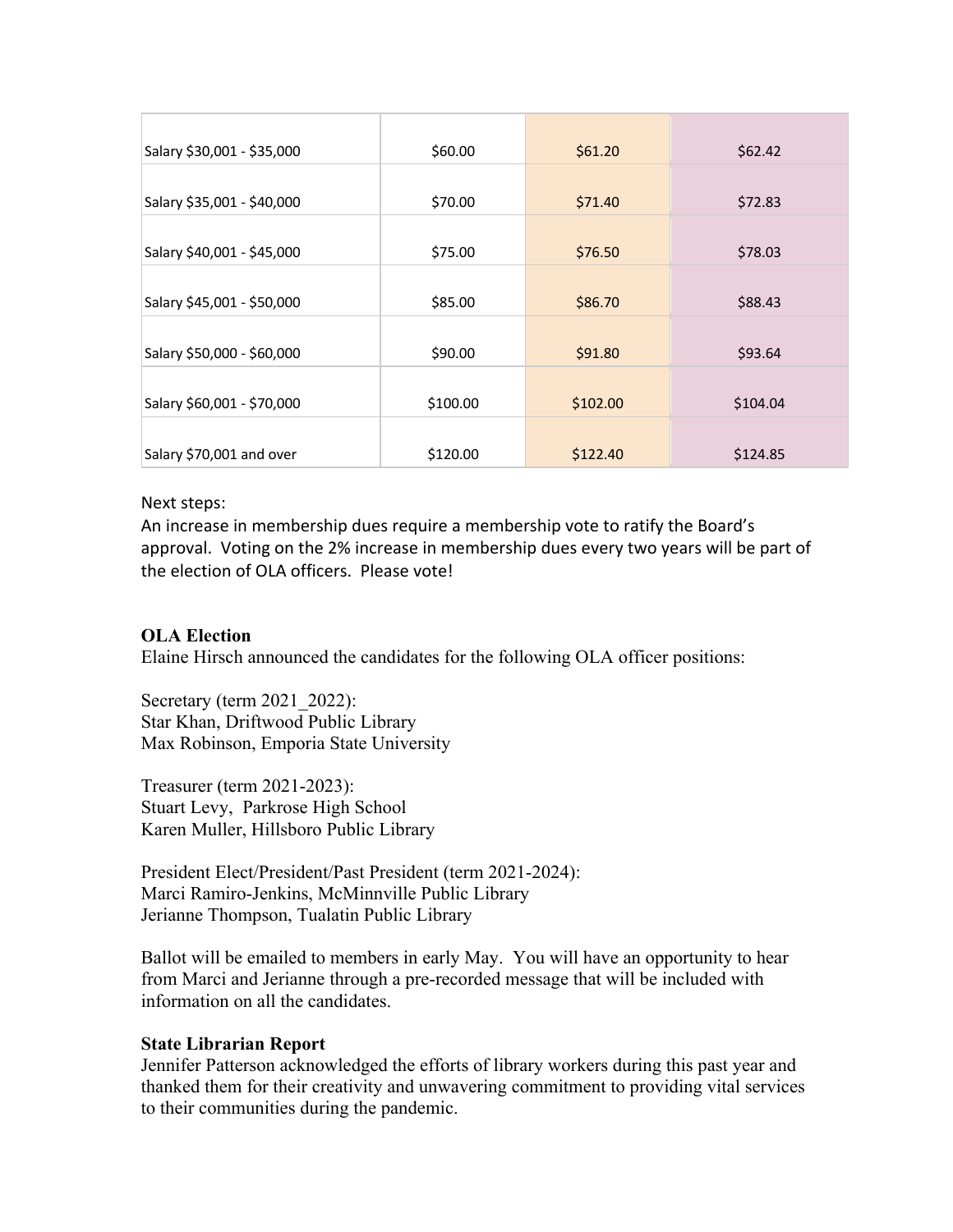| Salary \$30,001 - \$35,000 | \$60.00  | \$61.20  | \$62.42  |
|----------------------------|----------|----------|----------|
| Salary \$35,001 - \$40,000 | \$70.00  | \$71.40  | \$72.83  |
| Salary \$40,001 - \$45,000 | \$75.00  | \$76.50  | \$78.03  |
| Salary \$45,001 - \$50,000 | \$85.00  | \$86.70  | \$88.43  |
| Salary \$50,000 - \$60,000 | \$90.00  | \$91.80  | \$93.64  |
| Salary \$60,001 - \$70,000 | \$100.00 | \$102.00 | \$104.04 |
| Salary \$70,001 and over   | \$120.00 | \$122.40 | \$124.85 |

#### Next steps:

An increase in membership dues require a membership vote to ratify the Board's approval. Voting on the 2% increase in membership dues every two years will be part of the election of OLA officers. Please vote!

#### **OLA Election**

Elaine Hirsch announced the candidates for the following OLA officer positions:

Secretary (term 2021\_2022): Star Khan, Driftwood Public Library Max Robinson, Emporia State University

Treasurer (term 2021-2023): Stuart Levy, Parkrose High School Karen Muller, Hillsboro Public Library

President Elect/President/Past President (term 2021-2024): Marci Ramiro-Jenkins, McMinnville Public Library Jerianne Thompson, Tualatin Public Library

Ballot will be emailed to members in early May. You will have an opportunity to hear from Marci and Jerianne through a pre-recorded message that will be included with information on all the candidates.

#### **State Librarian Report**

Jennifer Patterson acknowledged the efforts of library workers during this past year and thanked them for their creativity and unwavering commitment to providing vital services to their communities during the pandemic.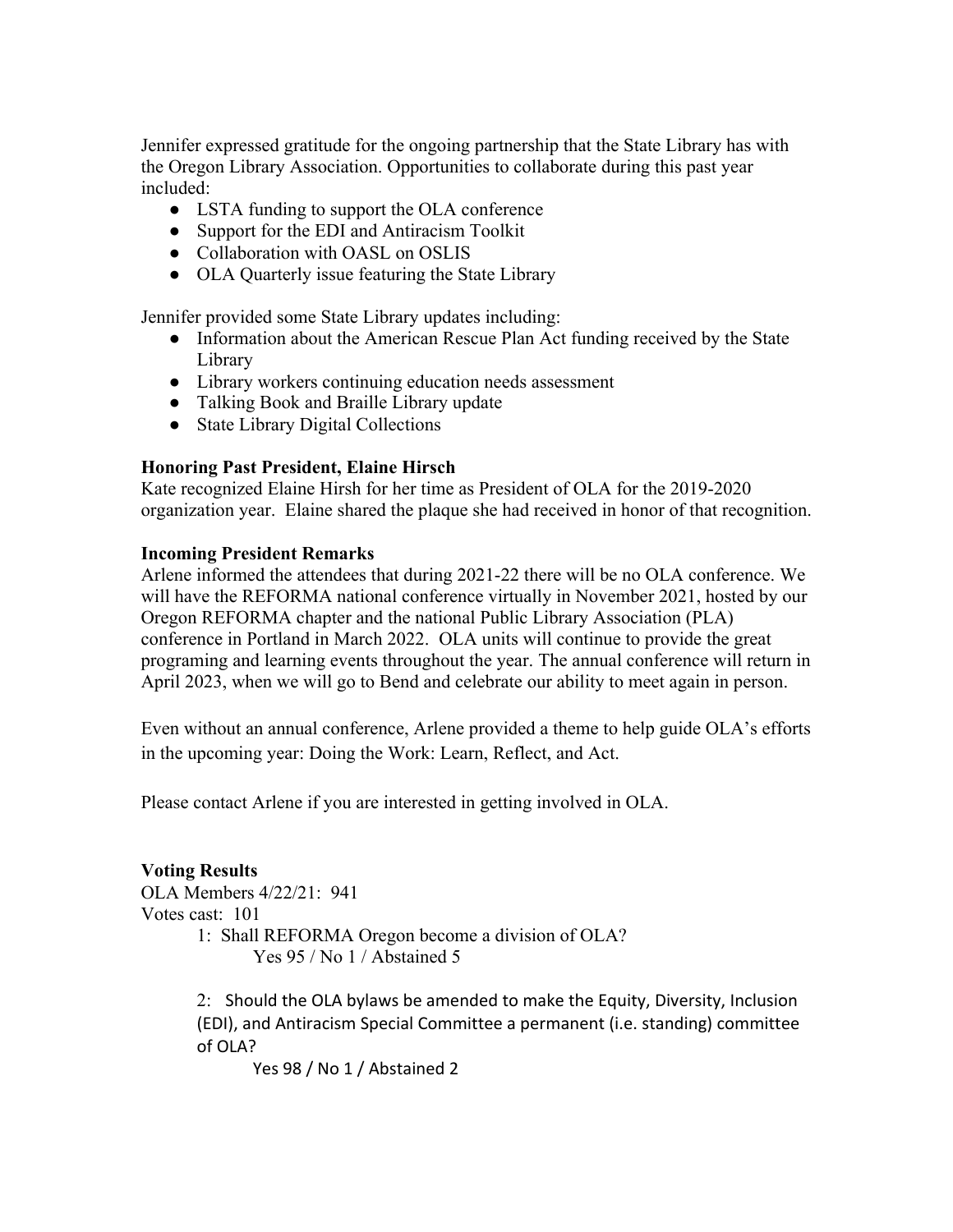Jennifer expressed gratitude for the ongoing partnership that the State Library has with the Oregon Library Association. Opportunities to collaborate during this past year included:

- LSTA funding to support the OLA conference
- Support for the EDI and Antiracism Toolkit
- Collaboration with OASL on OSLIS
- OLA Quarterly issue featuring the State Library

Jennifer provided some State Library updates including:

- Information about the American Rescue Plan Act funding received by the State Library
- Library workers continuing education needs assessment
- Talking Book and Braille Library update
- State Library Digital Collections

### **Honoring Past President, Elaine Hirsch**

Kate recognized Elaine Hirsh for her time as President of OLA for the 2019-2020 organization year. Elaine shared the plaque she had received in honor of that recognition.

### **Incoming President Remarks**

Arlene informed the attendees that during 2021-22 there will be no OLA conference. We will have the REFORMA national conference virtually in November 2021, hosted by our Oregon REFORMA chapter and the national Public Library Association (PLA) conference in Portland in March 2022. OLA units will continue to provide the great programing and learning events throughout the year. The annual conference will return in April 2023, when we will go to Bend and celebrate our ability to meet again in person.

Even without an annual conference, Arlene provided a theme to help guide OLA's efforts in the upcoming year: Doing the Work: Learn, Reflect, and Act.

Please contact Arlene if you are interested in getting involved in OLA.

**Voting Results** OLA Members 4/22/21: 941 Votes cast: 101 1: Shall REFORMA Oregon become a division of OLA? Yes 95 / No 1 / Abstained 5

> 2: Should the OLA bylaws be amended to make the Equity, Diversity, Inclusion (EDI), and Antiracism Special Committee a permanent (i.e. standing) committee of OLA?

Yes 98 / No 1 / Abstained 2